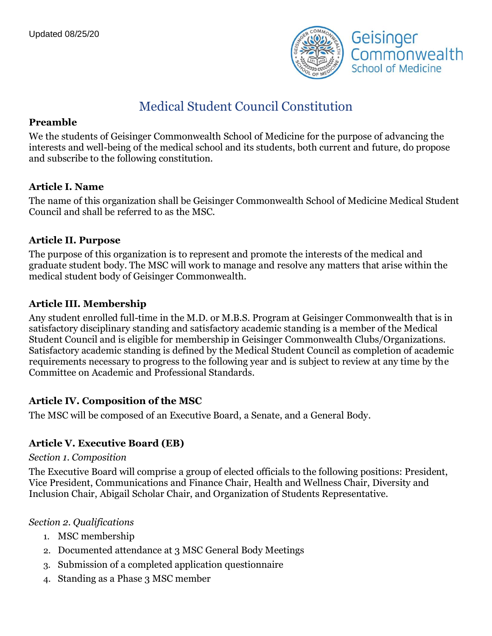

# Medical Student Council Constitution

### **Preamble**

We the students of Geisinger Commonwealth School of Medicine for the purpose of advancing the interests and well-being of the medical school and its students, both current and future, do propose and subscribe to the following constitution.

### **Article I. Name**

The name of this organization shall be Geisinger Commonwealth School of Medicine Medical Student Council and shall be referred to as the MSC.

### **Article II. Purpose**

The purpose of this organization is to represent and promote the interests of the medical and graduate student body. The MSC will work to manage and resolve any matters that arise within the medical student body of Geisinger Commonwealth.

### **Article III. Membership**

Any student enrolled full-time in the M.D. or M.B.S. Program at Geisinger Commonwealth that is in satisfactory disciplinary standing and satisfactory academic standing is a member of the Medical Student Council and is eligible for membership in Geisinger Commonwealth Clubs/Organizations. Satisfactory academic standing is defined by the Medical Student Council as completion of academic requirements necessary to progress to the following year and is subject to review at any time by the Committee on Academic and Professional Standards.

### **Article IV. Composition of the MSC**

The MSC will be composed of an Executive Board, a Senate, and a General Body.

### **Article V. Executive Board (EB)**

#### *Section 1. Composition*

The Executive Board will comprise a group of elected officials to the following positions: President, Vice President, Communications and Finance Chair, Health and Wellness Chair, Diversity and Inclusion Chair, Abigail Scholar Chair, and Organization of Students Representative.

#### *Section 2. Qualifications*

- 1. MSC membership
- 2. Documented attendance at 3 MSC General Body Meetings
- 3. Submission of a completed application questionnaire
- 4. Standing as a Phase 3 MSC member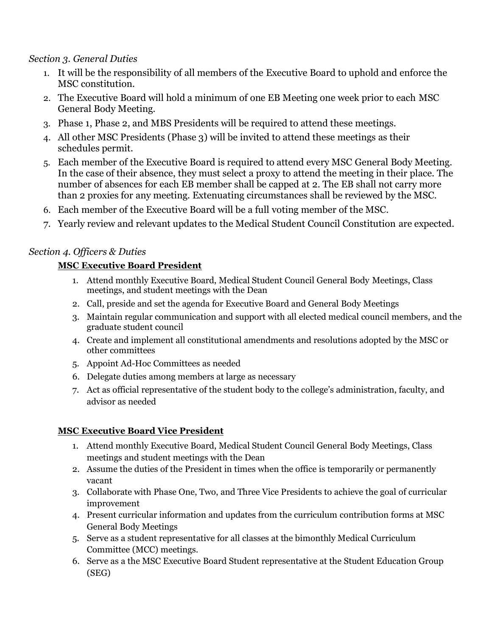### *Section 3. General Duties*

- 1. It will be the responsibility of all members of the Executive Board to uphold and enforce the MSC constitution.
- 2. The Executive Board will hold a minimum of one EB Meeting one week prior to each MSC General Body Meeting.
- 3. Phase 1, Phase 2, and MBS Presidents will be required to attend these meetings.
- 4. All other MSC Presidents (Phase 3) will be invited to attend these meetings as their schedules permit.
- 5. Each member of the Executive Board is required to attend every MSC General Body Meeting. In the case of their absence, they must select a proxy to attend the meeting in their place. The number of absences for each EB member shall be capped at 2. The EB shall not carry more than 2 proxies for any meeting. Extenuating circumstances shall be reviewed by the MSC.
- 6. Each member of the Executive Board will be a full voting member of the MSC.
- 7. Yearly review and relevant updates to the Medical Student Council Constitution are expected.

### *Section 4. Officers & Duties*

### **MSC Executive Board President**

- 1. Attend monthly Executive Board, Medical Student Council General Body Meetings, Class meetings, and student meetings with the Dean
- 2. Call, preside and set the agenda for Executive Board and General Body Meetings
- 3. Maintain regular communication and support with all elected medical council members, and the graduate student council
- 4. Create and implement all constitutional amendments and resolutions adopted by the MSC or other committees
- 5. Appoint Ad-Hoc Committees as needed
- 6. Delegate duties among members at large as necessary
- 7. Act as official representative of the student body to the college's administration, faculty, and advisor as needed

### **MSC Executive Board Vice President**

- 1. Attend monthly Executive Board, Medical Student Council General Body Meetings, Class meetings and student meetings with the Dean
- 2. Assume the duties of the President in times when the office is temporarily or permanently vacant
- 3. Collaborate with Phase One, Two, and Three Vice Presidents to achieve the goal of curricular improvement
- 4. Present curricular information and updates from the curriculum contribution forms at MSC General Body Meetings
- 5. Serve as a student representative for all classes at the bimonthly Medical Curriculum Committee (MCC) meetings.
- 6. Serve as a the MSC Executive Board Student representative at the Student Education Group (SEG)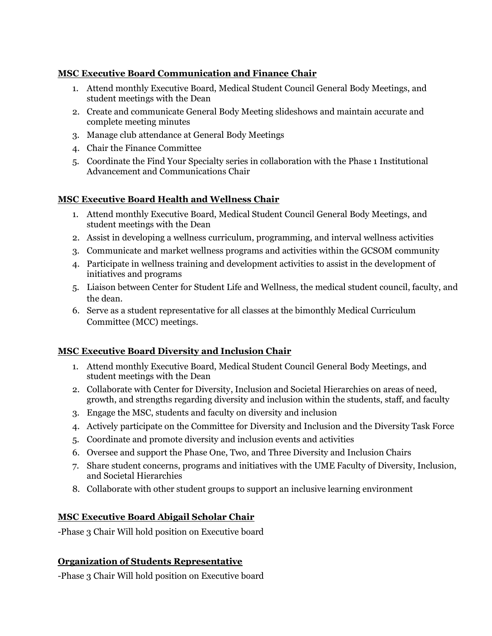#### **MSC Executive Board Communication and Finance Chair**

- 1. Attend monthly Executive Board, Medical Student Council General Body Meetings, and student meetings with the Dean
- 2. Create and communicate General Body Meeting slideshows and maintain accurate and complete meeting minutes
- 3. Manage club attendance at General Body Meetings
- 4. Chair the Finance Committee
- 5. Coordinate the Find Your Specialty series in collaboration with the Phase 1 Institutional Advancement and Communications Chair

### **MSC Executive Board Health and Wellness Chair**

- 1. Attend monthly Executive Board, Medical Student Council General Body Meetings, and student meetings with the Dean
- 2. Assist in developing a wellness curriculum, programming, and interval wellness activities
- 3. Communicate and market wellness programs and activities within the GCSOM community
- 4. Participate in wellness training and development activities to assist in the development of initiatives and programs
- 5. Liaison between Center for Student Life and Wellness, the medical student council, faculty, and the dean.
- 6. Serve as a student representative for all classes at the bimonthly Medical Curriculum Committee (MCC) meetings.

#### **MSC Executive Board Diversity and Inclusion Chair**

- 1. Attend monthly Executive Board, Medical Student Council General Body Meetings, and student meetings with the Dean
- 2. Collaborate with Center for Diversity, Inclusion and Societal Hierarchies on areas of need, growth, and strengths regarding diversity and inclusion within the students, staff, and faculty
- 3. Engage the MSC, students and faculty on diversity and inclusion
- 4. Actively participate on the Committee for Diversity and Inclusion and the Diversity Task Force
- 5. Coordinate and promote diversity and inclusion events and activities
- 6. Oversee and support the Phase One, Two, and Three Diversity and Inclusion Chairs
- 7. Share student concerns, programs and initiatives with the UME Faculty of Diversity, Inclusion, and Societal Hierarchies
- 8. Collaborate with other student groups to support an inclusive learning environment

### **MSC Executive Board Abigail Scholar Chair**

-Phase 3 Chair Will hold position on Executive board

### **Organization of Students Representative**

-Phase 3 Chair Will hold position on Executive board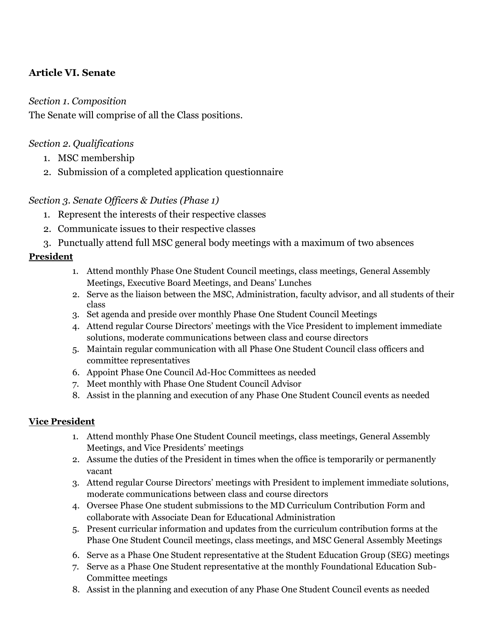# **Article VI. Senate**

### *Section 1. Composition*

The Senate will comprise of all the Class positions.

### *Section 2. Qualifications*

- 1. MSC membership
- 2. Submission of a completed application questionnaire

### *Section 3. Senate Officers & Duties (Phase 1)*

- 1. Represent the interests of their respective classes
- 2. Communicate issues to their respective classes
- 3. Punctually attend full MSC general body meetings with a maximum of two absences

### **President**

- 1. Attend monthly Phase One Student Council meetings, class meetings, General Assembly Meetings, Executive Board Meetings, and Deans' Lunches
- 2. Serve as the liaison between the MSC, Administration, faculty advisor, and all students of their class
- 3. Set agenda and preside over monthly Phase One Student Council Meetings
- 4. Attend regular Course Directors' meetings with the Vice President to implement immediate solutions, moderate communications between class and course directors
- 5. Maintain regular communication with all Phase One Student Council class officers and committee representatives
- 6. Appoint Phase One Council Ad-Hoc Committees as needed
- 7. Meet monthly with Phase One Student Council Advisor
- 8. Assist in the planning and execution of any Phase One Student Council events as needed

### **Vice President**

- 1. Attend monthly Phase One Student Council meetings, class meetings, General Assembly Meetings, and Vice Presidents' meetings
- 2. Assume the duties of the President in times when the office is temporarily or permanently vacant
- 3. Attend regular Course Directors' meetings with President to implement immediate solutions, moderate communications between class and course directors
- 4. Oversee Phase One student submissions to the MD Curriculum Contribution Form and collaborate with Associate Dean for Educational Administration
- 5. Present curricular information and updates from the curriculum contribution forms at the Phase One Student Council meetings, class meetings, and MSC General Assembly Meetings
- 6. Serve as a Phase One Student representative at the Student Education Group (SEG) meetings
- 7. Serve as a Phase One Student representative at the monthly Foundational Education Sub-Committee meetings
- 8. Assist in the planning and execution of any Phase One Student Council events as needed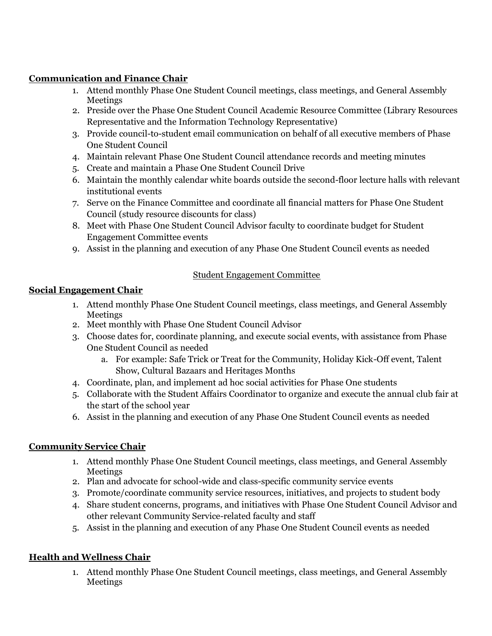#### **Communication and Finance Chair**

- 1. Attend monthly Phase One Student Council meetings, class meetings, and General Assembly Meetings
- 2. Preside over the Phase One Student Council Academic Resource Committee (Library Resources Representative and the Information Technology Representative)
- 3. Provide council-to-student email communication on behalf of all executive members of Phase One Student Council
- 4. Maintain relevant Phase One Student Council attendance records and meeting minutes
- 5. Create and maintain a Phase One Student Council Drive
- 6. Maintain the monthly calendar white boards outside the second-floor lecture halls with relevant institutional events
- 7. Serve on the Finance Committee and coordinate all financial matters for Phase One Student Council (study resource discounts for class)
- 8. Meet with Phase One Student Council Advisor faculty to coordinate budget for Student Engagement Committee events
- 9. Assist in the planning and execution of any Phase One Student Council events as needed

#### Student Engagement Committee

### **Social Engagement Chair**

- 1. Attend monthly Phase One Student Council meetings, class meetings, and General Assembly Meetings
- 2. Meet monthly with Phase One Student Council Advisor
- 3. Choose dates for, coordinate planning, and execute social events, with assistance from Phase One Student Council as needed
	- a. For example: Safe Trick or Treat for the Community, Holiday Kick-Off event, Talent Show, Cultural Bazaars and Heritages Months
- 4. Coordinate, plan, and implement ad hoc social activities for Phase One students
- 5. Collaborate with the Student Affairs Coordinator to organize and execute the annual club fair at the start of the school year
- 6. Assist in the planning and execution of any Phase One Student Council events as needed

#### **Community Service Chair**

- 1. Attend monthly Phase One Student Council meetings, class meetings, and General Assembly Meetings
- 2. Plan and advocate for school-wide and class-specific community service events
- 3. Promote/coordinate community service resources, initiatives, and projects to student body
- 4. Share student concerns, programs, and initiatives with Phase One Student Council Advisor and other relevant Community Service-related faculty and staff
- 5. Assist in the planning and execution of any Phase One Student Council events as needed

### **Health and Wellness Chair**

1. Attend monthly Phase One Student Council meetings, class meetings, and General Assembly Meetings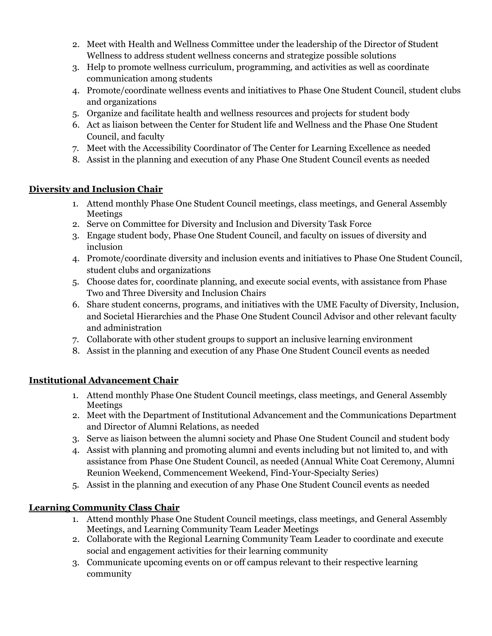- 2. Meet with Health and Wellness Committee under the leadership of the Director of Student Wellness to address student wellness concerns and strategize possible solutions
- 3. Help to promote wellness curriculum, programming, and activities as well as coordinate communication among students
- 4. Promote/coordinate wellness events and initiatives to Phase One Student Council, student clubs and organizations
- 5. Organize and facilitate health and wellness resources and projects for student body
- 6. Act as liaison between the Center for Student life and Wellness and the Phase One Student Council, and faculty
- 7. Meet with the Accessibility Coordinator of The Center for Learning Excellence as needed
- 8. Assist in the planning and execution of any Phase One Student Council events as needed

### **Diversity and Inclusion Chair**

- 1. Attend monthly Phase One Student Council meetings, class meetings, and General Assembly Meetings
- 2. Serve on Committee for Diversity and Inclusion and Diversity Task Force
- 3. Engage student body, Phase One Student Council, and faculty on issues of diversity and inclusion
- 4. Promote/coordinate diversity and inclusion events and initiatives to Phase One Student Council, student clubs and organizations
- 5. Choose dates for, coordinate planning, and execute social events, with assistance from Phase Two and Three Diversity and Inclusion Chairs
- 6. Share student concerns, programs, and initiatives with the UME Faculty of Diversity, Inclusion, and Societal Hierarchies and the Phase One Student Council Advisor and other relevant faculty and administration
- 7. Collaborate with other student groups to support an inclusive learning environment
- 8. Assist in the planning and execution of any Phase One Student Council events as needed

### **Institutional Advancement Chair**

- 1. Attend monthly Phase One Student Council meetings, class meetings, and General Assembly Meetings
- 2. Meet with the Department of Institutional Advancement and the Communications Department and Director of Alumni Relations, as needed
- 3. Serve as liaison between the alumni society and Phase One Student Council and student body
- 4. Assist with planning and promoting alumni and events including but not limited to, and with assistance from Phase One Student Council, as needed (Annual White Coat Ceremony, Alumni Reunion Weekend, Commencement Weekend, Find-Your-Specialty Series)
- 5. Assist in the planning and execution of any Phase One Student Council events as needed

### **Learning Community Class Chair**

- 1. Attend monthly Phase One Student Council meetings, class meetings, and General Assembly Meetings, and Learning Community Team Leader Meetings
- 2. Collaborate with the Regional Learning Community Team Leader to coordinate and execute social and engagement activities for their learning community
- 3. Communicate upcoming events on or off campus relevant to their respective learning community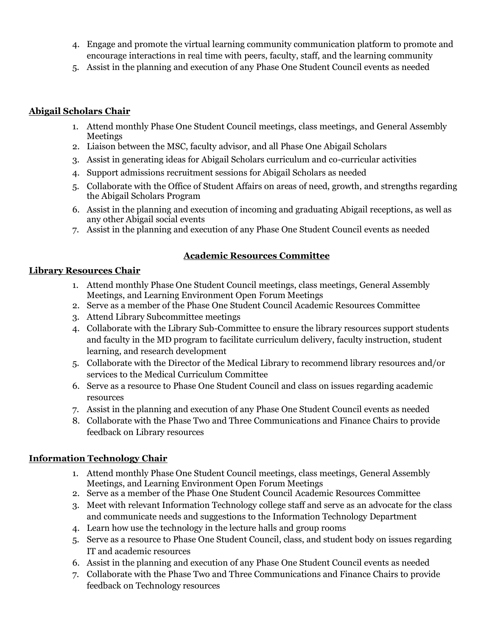- 4. Engage and promote the virtual learning community communication platform to promote and encourage interactions in real time with peers, faculty, staff, and the learning community
- 5. Assist in the planning and execution of any Phase One Student Council events as needed

#### **Abigail Scholars Chair**

- 1. Attend monthly Phase One Student Council meetings, class meetings, and General Assembly **Meetings**
- 2. Liaison between the MSC, faculty advisor, and all Phase One Abigail Scholars
- 3. Assist in generating ideas for Abigail Scholars curriculum and co-curricular activities
- 4. Support admissions recruitment sessions for Abigail Scholars as needed
- 5. Collaborate with the Office of Student Affairs on areas of need, growth, and strengths regarding the Abigail Scholars Program
- 6. Assist in the planning and execution of incoming and graduating Abigail receptions, as well as any other Abigail social events
- 7. Assist in the planning and execution of any Phase One Student Council events as needed

### **Academic Resources Committee**

### **Library Resources Chair**

- 1. Attend monthly Phase One Student Council meetings, class meetings, General Assembly Meetings, and Learning Environment Open Forum Meetings
- 2. Serve as a member of the Phase One Student Council Academic Resources Committee
- 3. Attend Library Subcommittee meetings
- 4. Collaborate with the Library Sub-Committee to ensure the library resources support students and faculty in the MD program to facilitate curriculum delivery, faculty instruction, student learning, and research development
- 5. Collaborate with the Director of the Medical Library to recommend library resources and/or services to the Medical Curriculum Committee
- 6. Serve as a resource to Phase One Student Council and class on issues regarding academic resources
- 7. Assist in the planning and execution of any Phase One Student Council events as needed
- 8. Collaborate with the Phase Two and Three Communications and Finance Chairs to provide feedback on Library resources

### **Information Technology Chair**

- 1. Attend monthly Phase One Student Council meetings, class meetings, General Assembly Meetings, and Learning Environment Open Forum Meetings
- 2. Serve as a member of the Phase One Student Council Academic Resources Committee
- 3. Meet with relevant Information Technology college staff and serve as an advocate for the class and communicate needs and suggestions to the Information Technology Department
- 4. Learn how use the technology in the lecture halls and group rooms
- 5. Serve as a resource to Phase One Student Council, class, and student body on issues regarding IT and academic resources
- 6. Assist in the planning and execution of any Phase One Student Council events as needed
- 7. Collaborate with the Phase Two and Three Communications and Finance Chairs to provide feedback on Technology resources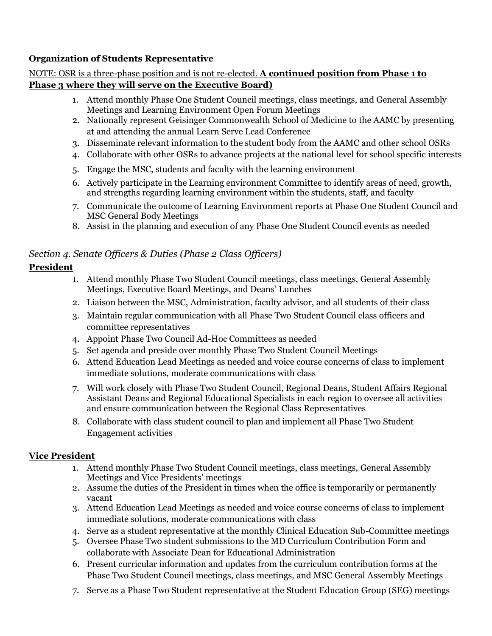#### **Organization of Students Representative**

#### NOTE: OSR is a three-phase position and is not re-elected. **A continued position from Phase 1 to Phase 3 where they will serve on the Executive Board)**

- 1. Attend monthly Phase One Student Council meetings, class meetings, and General Assembly Meetings and Learning Environment Open Forum Meetings
- 2. Nationally represent Geisinger Commonwealth School of Medicine to the AAMC by presenting at and attending the annual Learn Serve Lead Conference
- 3. Disseminate relevant information to the student body from the AAMC and other school OSRs
- 4. Collaborate with other OSRs to advance projects at the national level for school specific interests
- 5. Engage the MSC, students and faculty with the learning environment
- 6. Actively participate in the Learning environment Committee to identify areas of need, growth, and strengths regarding learning environment within the students, staff, and faculty
- 7. Communicate the outcome of Learning Environment reports at Phase One Student Council and MSC General Body Meetings
- 8. Assist in the planning and execution of any Phase One Student Council events as needed

### *Section 4. Senate Officers & Duties (Phase 2 Class Officers)*

### **President**

- 1. Attend monthly Phase Two Student Council meetings, class meetings, General Assembly Meetings, Executive Board Meetings, and Deans' Lunches
- 2. Liaison between the MSC, Administration, faculty advisor, and all students of their class
- 3. Maintain regular communication with all Phase Two Student Council class officers and committee representatives
- 4. Appoint Phase Two Council Ad-Hoc Committees as needed
- 5. Set agenda and preside over monthly Phase Two Student Council Meetings
- 6. Attend Education Lead Meetings as needed and voice course concerns of class to implement immediate solutions, moderate communications with class
- 7. Will work closely with Phase Two Student Council, Regional Deans, Student Affairs Regional Assistant Deans and Regional Educational Specialists in each region to oversee all activities and ensure communication between the Regional Class Representatives
- 8. Collaborate with class student council to plan and implement all Phase Two Student Engagement activities

#### **Vice President**

- 1. Attend monthly Phase Two Student Council meetings, class meetings, General Assembly Meetings and Vice Presidents' meetings
- 2. Assume the duties of the President in times when the office is temporarily or permanently vacant
- 3. Attend Education Lead Meetings as needed and voice course concerns of class to implement immediate solutions, moderate communications with class
- 4. Serve as a student representative at the monthly Clinical Education Sub-Committee meetings
- 5. Oversee Phase Two student submissions to the MD Curriculum Contribution Form and collaborate with Associate Dean for Educational Administration
- 6. Present curricular information and updates from the curriculum contribution forms at the Phase Two Student Council meetings, class meetings, and MSC General Assembly Meetings
- 7. Serve as a Phase Two Student representative at the Student Education Group (SEG) meetings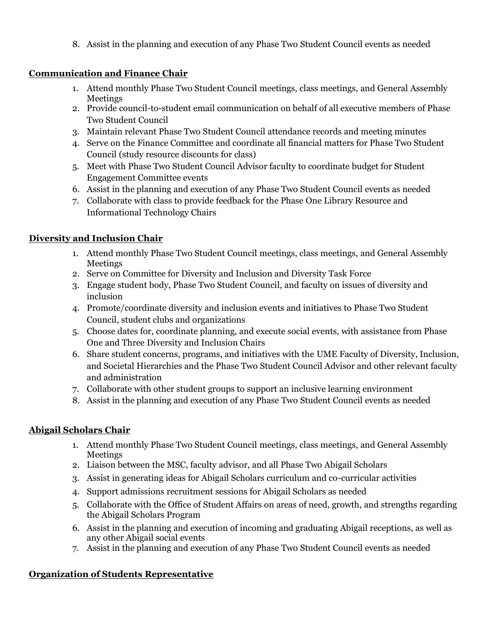8. Assist in the planning and execution of any Phase Two Student Council events as needed

### **Communication and Finance Chair**

- 1. Attend monthly Phase Two Student Council meetings, class meetings, and General Assembly **Meetings**
- 2. Provide council-to-student email communication on behalf of all executive members of Phase Two Student Council
- 3. Maintain relevant Phase Two Student Council attendance records and meeting minutes
- 4. Serve on the Finance Committee and coordinate all financial matters for Phase Two Student Council (study resource discounts for class)
- 5. Meet with Phase Two Student Council Advisor faculty to coordinate budget for Student Engagement Committee events
- 6. Assist in the planning and execution of any Phase Two Student Council events as needed
- 7. Collaborate with class to provide feedback for the Phase One Library Resource and Informational Technology Chairs

### **Diversity and Inclusion Chair**

- 1. Attend monthly Phase Two Student Council meetings, class meetings, and General Assembly **Meetings**
- 2. Serve on Committee for Diversity and Inclusion and Diversity Task Force
- 3. Engage student body, Phase Two Student Council, and faculty on issues of diversity and inclusion
- 4. Promote/coordinate diversity and inclusion events and initiatives to Phase Two Student Council, student clubs and organizations
- 5. Choose dates for, coordinate planning, and execute social events, with assistance from Phase One and Three Diversity and Inclusion Chairs
- 6. Share student concerns, programs, and initiatives with the UME Faculty of Diversity, Inclusion, and Societal Hierarchies and the Phase Two Student Council Advisor and other relevant faculty and administration
- 7. Collaborate with other student groups to support an inclusive learning environment
- 8. Assist in the planning and execution of any Phase Two Student Council events as needed

### **Abigail Scholars Chair**

- 1. Attend monthly Phase Two Student Council meetings, class meetings, and General Assembly Meetings
- 2. Liaison between the MSC, faculty advisor, and all Phase Two Abigail Scholars
- 3. Assist in generating ideas for Abigail Scholars curriculum and co-curricular activities
- 4. Support admissions recruitment sessions for Abigail Scholars as needed
- 5. Collaborate with the Office of Student Affairs on areas of need, growth, and strengths regarding the Abigail Scholars Program
- 6. Assist in the planning and execution of incoming and graduating Abigail receptions, as well as any other Abigail social events
- 7. Assist in the planning and execution of any Phase Two Student Council events as needed

### **Organization of Students Representative**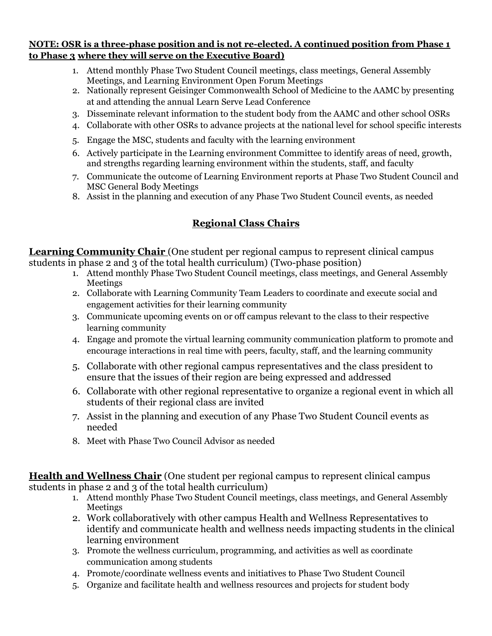#### **NOTE: OSR is a three-phase position and is not re-elected. A continued position from Phase 1 to Phase 3 where they will serve on the Executive Board)**

- 1. Attend monthly Phase Two Student Council meetings, class meetings, General Assembly Meetings, and Learning Environment Open Forum Meetings
- 2. Nationally represent Geisinger Commonwealth School of Medicine to the AAMC by presenting at and attending the annual Learn Serve Lead Conference
- 3. Disseminate relevant information to the student body from the AAMC and other school OSRs
- 4. Collaborate with other OSRs to advance projects at the national level for school specific interests
- 5. Engage the MSC, students and faculty with the learning environment
- 6. Actively participate in the Learning environment Committee to identify areas of need, growth, and strengths regarding learning environment within the students, staff, and faculty
- 7. Communicate the outcome of Learning Environment reports at Phase Two Student Council and MSC General Body Meetings
- 8. Assist in the planning and execution of any Phase Two Student Council events, as needed

# **Regional Class Chairs**

**Learning Community Chair** (One student per regional campus to represent clinical campus students in phase 2 and 3 of the total health curriculum) (Two-phase position)

- 1. Attend monthly Phase Two Student Council meetings, class meetings, and General Assembly Meetings
- 2. Collaborate with Learning Community Team Leaders to coordinate and execute social and engagement activities for their learning community
- 3. Communicate upcoming events on or off campus relevant to the class to their respective learning community
- 4. Engage and promote the virtual learning community communication platform to promote and encourage interactions in real time with peers, faculty, staff, and the learning community
- 5. Collaborate with other regional campus representatives and the class president to ensure that the issues of their region are being expressed and addressed
- 6. Collaborate with other regional representative to organize a regional event in which all students of their regional class are invited
- 7. Assist in the planning and execution of any Phase Two Student Council events as needed
- 8. Meet with Phase Two Council Advisor as needed

**Health and Wellness Chair** (One student per regional campus to represent clinical campus students in phase 2 and 3 of the total health curriculum)

- 1. Attend monthly Phase Two Student Council meetings, class meetings, and General Assembly Meetings
- 2. Work collaboratively with other campus Health and Wellness Representatives to identify and communicate health and wellness needs impacting students in the clinical learning environment
- 3. Promote the wellness curriculum, programming, and activities as well as coordinate communication among students
- 4. Promote/coordinate wellness events and initiatives to Phase Two Student Council
- 5. Organize and facilitate health and wellness resources and projects for student body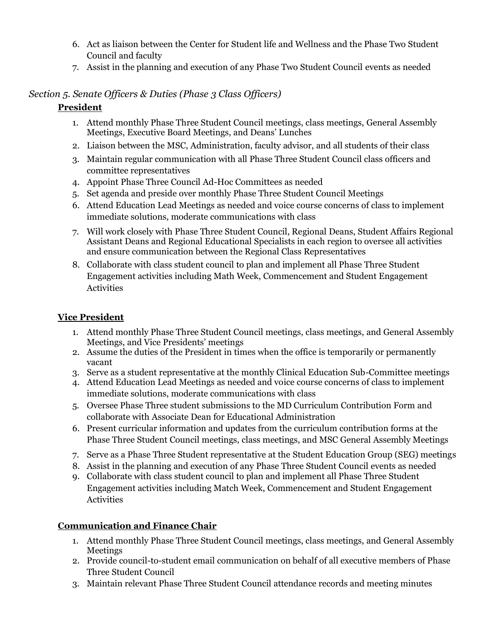- 6. Act as liaison between the Center for Student life and Wellness and the Phase Two Student Council and faculty
- 7. Assist in the planning and execution of any Phase Two Student Council events as needed

### *Section 5. Senate Officers & Duties (Phase 3 Class Officers)*

### **President**

- 1. Attend monthly Phase Three Student Council meetings, class meetings, General Assembly Meetings, Executive Board Meetings, and Deans' Lunches
- 2. Liaison between the MSC, Administration, faculty advisor, and all students of their class
- 3. Maintain regular communication with all Phase Three Student Council class officers and committee representatives
- 4. Appoint Phase Three Council Ad-Hoc Committees as needed
- 5. Set agenda and preside over monthly Phase Three Student Council Meetings
- 6. Attend Education Lead Meetings as needed and voice course concerns of class to implement immediate solutions, moderate communications with class
- 7. Will work closely with Phase Three Student Council, Regional Deans, Student Affairs Regional Assistant Deans and Regional Educational Specialists in each region to oversee all activities and ensure communication between the Regional Class Representatives
- 8. Collaborate with class student council to plan and implement all Phase Three Student Engagement activities including Math Week, Commencement and Student Engagement Activities

### **Vice President**

- 1. Attend monthly Phase Three Student Council meetings, class meetings, and General Assembly Meetings, and Vice Presidents' meetings
- 2. Assume the duties of the President in times when the office is temporarily or permanently vacant
- 3. Serve as a student representative at the monthly Clinical Education Sub-Committee meetings
- 4. Attend Education Lead Meetings as needed and voice course concerns of class to implement immediate solutions, moderate communications with class
- 5. Oversee Phase Three student submissions to the MD Curriculum Contribution Form and collaborate with Associate Dean for Educational Administration
- 6. Present curricular information and updates from the curriculum contribution forms at the Phase Three Student Council meetings, class meetings, and MSC General Assembly Meetings
- 7. Serve as a Phase Three Student representative at the Student Education Group (SEG) meetings
- 8. Assist in the planning and execution of any Phase Three Student Council events as needed
- 9. Collaborate with class student council to plan and implement all Phase Three Student Engagement activities including Match Week, Commencement and Student Engagement Activities

### **Communication and Finance Chair**

- 1. Attend monthly Phase Three Student Council meetings, class meetings, and General Assembly **Meetings**
- 2. Provide council-to-student email communication on behalf of all executive members of Phase Three Student Council
- 3. Maintain relevant Phase Three Student Council attendance records and meeting minutes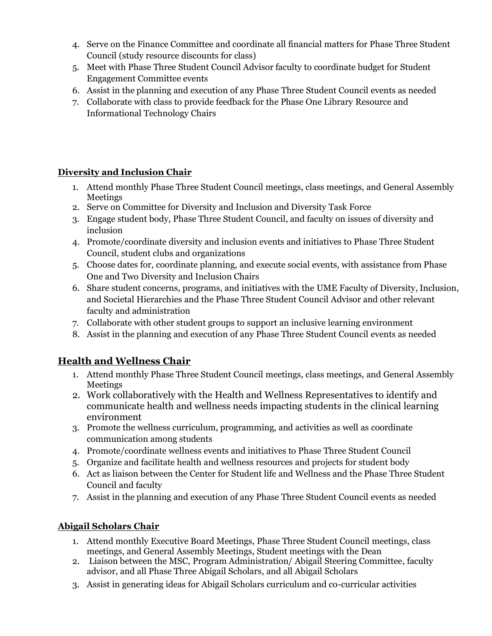- 4. Serve on the Finance Committee and coordinate all financial matters for Phase Three Student Council (study resource discounts for class)
- 5. Meet with Phase Three Student Council Advisor faculty to coordinate budget for Student Engagement Committee events
- 6. Assist in the planning and execution of any Phase Three Student Council events as needed
- 7. Collaborate with class to provide feedback for the Phase One Library Resource and Informational Technology Chairs

### **Diversity and Inclusion Chair**

- 1. Attend monthly Phase Three Student Council meetings, class meetings, and General Assembly Meetings
- 2. Serve on Committee for Diversity and Inclusion and Diversity Task Force
- 3. Engage student body, Phase Three Student Council, and faculty on issues of diversity and inclusion
- 4. Promote/coordinate diversity and inclusion events and initiatives to Phase Three Student Council, student clubs and organizations
- 5. Choose dates for, coordinate planning, and execute social events, with assistance from Phase One and Two Diversity and Inclusion Chairs
- 6. Share student concerns, programs, and initiatives with the UME Faculty of Diversity, Inclusion, and Societal Hierarchies and the Phase Three Student Council Advisor and other relevant faculty and administration
- 7. Collaborate with other student groups to support an inclusive learning environment
- 8. Assist in the planning and execution of any Phase Three Student Council events as needed

# **Health and Wellness Chair**

- 1. Attend monthly Phase Three Student Council meetings, class meetings, and General Assembly Meetings
- 2. Work collaboratively with the Health and Wellness Representatives to identify and communicate health and wellness needs impacting students in the clinical learning environment
- 3. Promote the wellness curriculum, programming, and activities as well as coordinate communication among students
- 4. Promote/coordinate wellness events and initiatives to Phase Three Student Council
- 5. Organize and facilitate health and wellness resources and projects for student body
- 6. Act as liaison between the Center for Student life and Wellness and the Phase Three Student Council and faculty
- 7. Assist in the planning and execution of any Phase Three Student Council events as needed

### **Abigail Scholars Chair**

- 1. Attend monthly Executive Board Meetings, Phase Three Student Council meetings, class meetings, and General Assembly Meetings, Student meetings with the Dean
- 2. Liaison between the MSC, Program Administration/ Abigail Steering Committee, faculty advisor, and all Phase Three Abigail Scholars, and all Abigail Scholars
- 3. Assist in generating ideas for Abigail Scholars curriculum and co-curricular activities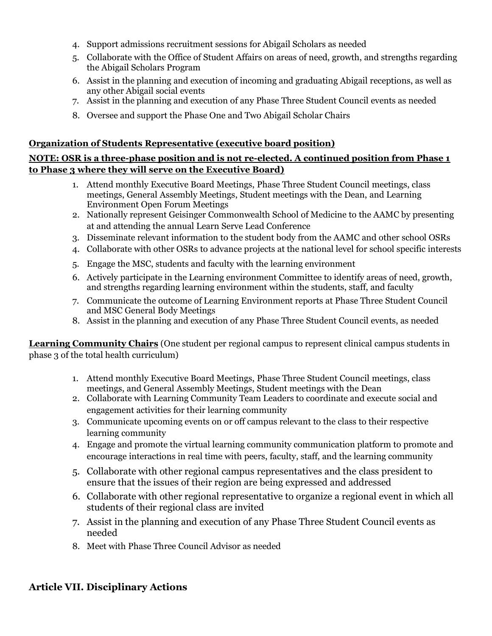- 4. Support admissions recruitment sessions for Abigail Scholars as needed
- 5. Collaborate with the Office of Student Affairs on areas of need, growth, and strengths regarding the Abigail Scholars Program
- 6. Assist in the planning and execution of incoming and graduating Abigail receptions, as well as any other Abigail social events
- 7. Assist in the planning and execution of any Phase Three Student Council events as needed
- 8. Oversee and support the Phase One and Two Abigail Scholar Chairs

#### **Organization of Students Representative (executive board position)**

### **NOTE: OSR is a three-phase position and is not re-elected. A continued position from Phase 1 to Phase 3 where they will serve on the Executive Board)**

- 1. Attend monthly Executive Board Meetings, Phase Three Student Council meetings, class meetings, General Assembly Meetings, Student meetings with the Dean, and Learning Environment Open Forum Meetings
- 2. Nationally represent Geisinger Commonwealth School of Medicine to the AAMC by presenting at and attending the annual Learn Serve Lead Conference
- 3. Disseminate relevant information to the student body from the AAMC and other school OSRs
- 4. Collaborate with other OSRs to advance projects at the national level for school specific interests
- 5. Engage the MSC, students and faculty with the learning environment
- 6. Actively participate in the Learning environment Committee to identify areas of need, growth, and strengths regarding learning environment within the students, staff, and faculty
- 7. Communicate the outcome of Learning Environment reports at Phase Three Student Council and MSC General Body Meetings
- 8. Assist in the planning and execution of any Phase Three Student Council events, as needed

**Learning Community Chairs** (One student per regional campus to represent clinical campus students in phase 3 of the total health curriculum)

- 1. Attend monthly Executive Board Meetings, Phase Three Student Council meetings, class meetings, and General Assembly Meetings, Student meetings with the Dean
- 2. Collaborate with Learning Community Team Leaders to coordinate and execute social and engagement activities for their learning community
- 3. Communicate upcoming events on or off campus relevant to the class to their respective learning community
- 4. Engage and promote the virtual learning community communication platform to promote and encourage interactions in real time with peers, faculty, staff, and the learning community
- 5. Collaborate with other regional campus representatives and the class president to ensure that the issues of their region are being expressed and addressed
- 6. Collaborate with other regional representative to organize a regional event in which all students of their regional class are invited
- 7. Assist in the planning and execution of any Phase Three Student Council events as needed
- 8. Meet with Phase Three Council Advisor as needed

### **Article VII. Disciplinary Actions**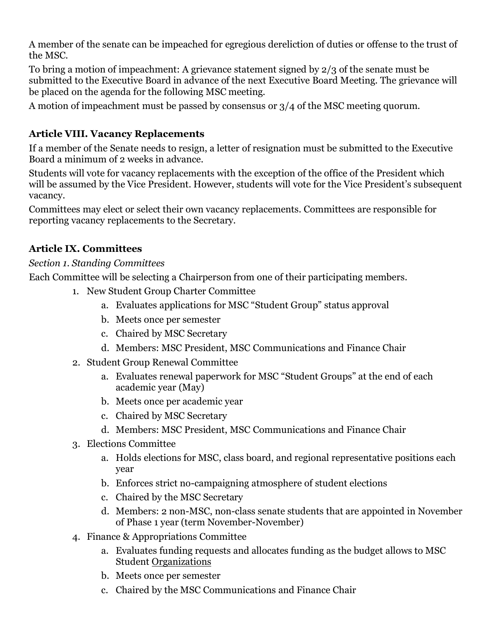A member of the senate can be impeached for egregious dereliction of duties or offense to the trust of the MSC.

To bring a motion of impeachment: A grievance statement signed by 2/3 of the senate must be submitted to the Executive Board in advance of the next Executive Board Meeting. The grievance will be placed on the agenda for the following MSC meeting.

A motion of impeachment must be passed by consensus or 3/4 of the MSC meeting quorum.

# **Article VIII. Vacancy Replacements**

If a member of the Senate needs to resign, a letter of resignation must be submitted to the Executive Board a minimum of 2 weeks in advance.

Students will vote for vacancy replacements with the exception of the office of the President which will be assumed by the Vice President. However, students will vote for the Vice President's subsequent vacancy.

Committees may elect or select their own vacancy replacements. Committees are responsible for reporting vacancy replacements to the Secretary.

# **Article IX. Committees**

### *Section 1. Standing Committees*

Each Committee will be selecting a Chairperson from one of their participating members.

- 1. New Student Group Charter Committee
	- a. Evaluates applications for MSC "Student Group" status approval
	- b. Meets once per semester
	- c. Chaired by MSC Secretary
	- d. Members: MSC President, MSC Communications and Finance Chair
- 2. Student Group Renewal Committee
	- a. Evaluates renewal paperwork for MSC "Student Groups" at the end of each academic year (May)
	- b. Meets once per academic year
	- c. Chaired by MSC Secretary
	- d. Members: MSC President, MSC Communications and Finance Chair
- 3. Elections Committee
	- a. Holds elections for MSC, class board, and regional representative positions each year
	- b. Enforces strict no-campaigning atmosphere of student elections
	- c. Chaired by the MSC Secretary
	- d. Members: 2 non-MSC, non-class senate students that are appointed in November of Phase 1 year (term November-November)
- 4. Finance & Appropriations Committee
	- a. Evaluates funding requests and allocates funding as the budget allows to MSC Student Organizations
	- b. Meets once per semester
	- c. Chaired by the MSC Communications and Finance Chair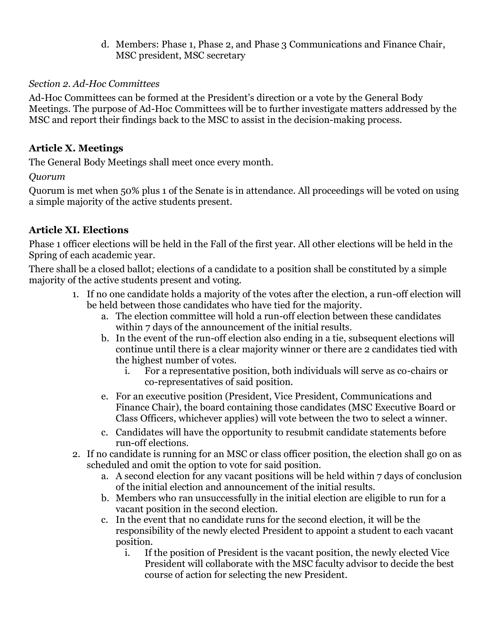d. Members: Phase 1, Phase 2, and Phase 3 Communications and Finance Chair, MSC president, MSC secretary

### *Section 2. Ad-Hoc Committees*

Ad-Hoc Committees can be formed at the President's direction or a vote by the General Body Meetings. The purpose of Ad-Hoc Committees will be to further investigate matters addressed by the MSC and report their findings back to the MSC to assist in the decision-making process.

# **Article X. Meetings**

The General Body Meetings shall meet once every month.

*Quorum*

Quorum is met when 50% plus 1 of the Senate is in attendance. All proceedings will be voted on using a simple majority of the active students present.

# **Article XI. Elections**

Phase 1 officer elections will be held in the Fall of the first year. All other elections will be held in the Spring of each academic year.

There shall be a closed ballot; elections of a candidate to a position shall be constituted by a simple majority of the active students present and voting.

- 1. If no one candidate holds a majority of the votes after the election, a run-off election will be held between those candidates who have tied for the majority.
	- a. The election committee will hold a run-off election between these candidates within 7 days of the announcement of the initial results.
	- b. In the event of the run-off election also ending in a tie, subsequent elections will continue until there is a clear majority winner or there are 2 candidates tied with the highest number of votes.
		- i. For a representative position, both individuals will serve as co-chairs or co-representatives of said position.
	- e. For an executive position (President, Vice President, Communications and Finance Chair), the board containing those candidates (MSC Executive Board or Class Officers, whichever applies) will vote between the two to select a winner.
	- c. Candidates will have the opportunity to resubmit candidate statements before run-off elections.
- 2. If no candidate is running for an MSC or class officer position, the election shall go on as scheduled and omit the option to vote for said position.
	- a. A second election for any vacant positions will be held within 7 days of conclusion of the initial election and announcement of the initial results.
	- b. Members who ran unsuccessfully in the initial election are eligible to run for a vacant position in the second election.
	- c. In the event that no candidate runs for the second election, it will be the responsibility of the newly elected President to appoint a student to each vacant position.
		- i. If the position of President is the vacant position, the newly elected Vice President will collaborate with the MSC faculty advisor to decide the best course of action for selecting the new President.